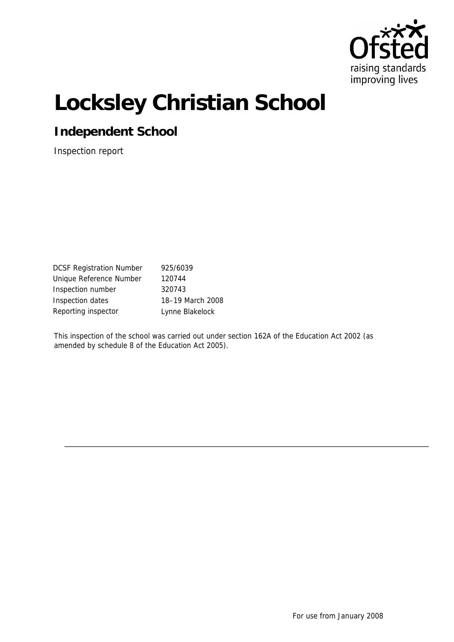

# **Locksley Christian School**

**Independent School**

Inspection report

DCSF Registration Number 925/6039 Unique Reference Number 120744 Inspection number 320743 Inspection dates 18–19 March 2008 Reporting inspector **Lynne Blakelock** 

This inspection of the school was carried out under section 162A of the Education Act 2002 (as amended by schedule 8 of the Education Act 2005).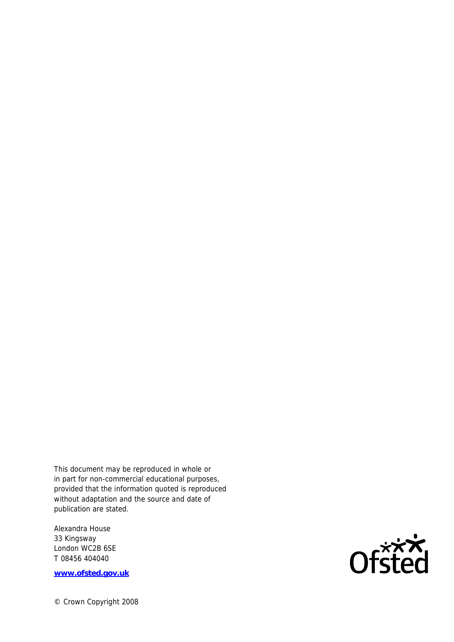This document may be reproduced in whole or in part for non-commercial educational purposes, provided that the information quoted is reproduced without adaptation and the source and date of publication are stated.

Alexandra House 33 Kingsway London WC2B 6SE T 08456 404040

**www.ofsted.gov.uk**

© Crown Copyright 2008

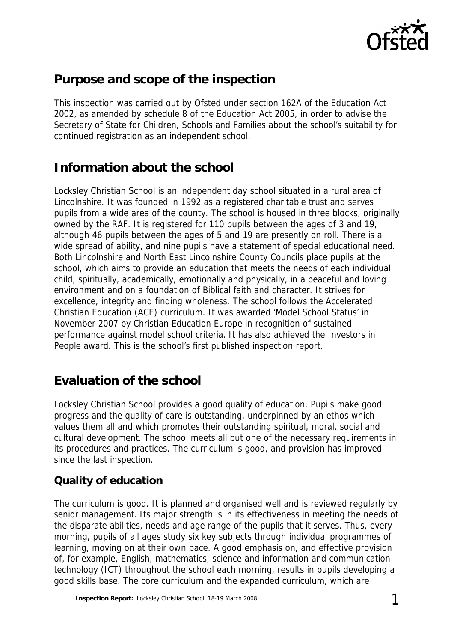

## **Purpose and scope of the inspection**

This inspection was carried out by Ofsted under section 162A of the Education Act 2002, as amended by schedule 8 of the Education Act 2005, in order to advise the Secretary of State for Children, Schools and Families about the school's suitability for continued registration as an independent school.

## **Information about the school**

Locksley Christian School is an independent day school situated in a rural area of Lincolnshire. It was founded in 1992 as a registered charitable trust and serves pupils from a wide area of the county. The school is housed in three blocks, originally owned by the RAF. It is registered for 110 pupils between the ages of 3 and 19, although 46 pupils between the ages of 5 and 19 are presently on roll. There is a wide spread of ability, and nine pupils have a statement of special educational need. Both Lincolnshire and North East Lincolnshire County Councils place pupils at the school, which aims to provide an education that meets the needs of each individual child, spiritually, academically, emotionally and physically, in a peaceful and loving environment and on a foundation of Biblical faith and character. It strives for excellence, integrity and finding wholeness. The school follows the Accelerated Christian Education (ACE) curriculum. It was awarded 'Model School Status' in November 2007 by Christian Education Europe in recognition of sustained performance against model school criteria. It has also achieved the Investors in People award. This is the school's first published inspection report.

## **Evaluation of the school**

Locksley Christian School provides a good quality of education. Pupils make good progress and the quality of care is outstanding, underpinned by an ethos which values them all and which promotes their outstanding spiritual, moral, social and cultural development. The school meets all but one of the necessary requirements in its procedures and practices. The curriculum is good, and provision has improved since the last inspection.

#### **Quality of education**

The curriculum is good. It is planned and organised well and is reviewed regularly by senior management. Its major strength is in its effectiveness in meeting the needs of the disparate abilities, needs and age range of the pupils that it serves. Thus, every morning, pupils of all ages study six key subjects through individual programmes of learning, moving on at their own pace. A good emphasis on, and effective provision of, for example, English, mathematics, science and information and communication technology (ICT) throughout the school each morning, results in pupils developing a good skills base. The core curriculum and the expanded curriculum, which are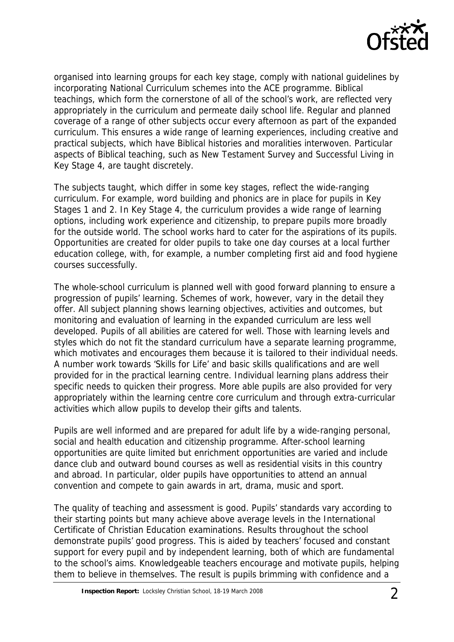

organised into learning groups for each key stage, comply with national guidelines by incorporating National Curriculum schemes into the ACE programme. Biblical teachings, which form the cornerstone of all of the school's work, are reflected very appropriately in the curriculum and permeate daily school life. Regular and planned coverage of a range of other subjects occur every afternoon as part of the expanded curriculum. This ensures a wide range of learning experiences, including creative and practical subjects, which have Biblical histories and moralities interwoven. Particular aspects of Biblical teaching, such as New Testament Survey and Successful Living in Key Stage 4, are taught discretely.

The subjects taught, which differ in some key stages, reflect the wide-ranging curriculum. For example, word building and phonics are in place for pupils in Key Stages 1 and 2. In Key Stage 4, the curriculum provides a wide range of learning options, including work experience and citizenship, to prepare pupils more broadly for the outside world. The school works hard to cater for the aspirations of its pupils. Opportunities are created for older pupils to take one day courses at a local further education college, with, for example, a number completing first aid and food hygiene courses successfully.

The whole-school curriculum is planned well with good forward planning to ensure a progression of pupils' learning. Schemes of work, however, vary in the detail they offer. All subject planning shows learning objectives, activities and outcomes, but monitoring and evaluation of learning in the expanded curriculum are less well developed. Pupils of all abilities are catered for well. Those with learning levels and styles which do not fit the standard curriculum have a separate learning programme, which motivates and encourages them because it is tailored to their individual needs. A number work towards 'Skills for Life' and basic skills qualifications and are well provided for in the practical learning centre. Individual learning plans address their specific needs to quicken their progress. More able pupils are also provided for very appropriately within the learning centre core curriculum and through extra-curricular activities which allow pupils to develop their gifts and talents.

Pupils are well informed and are prepared for adult life by a wide-ranging personal, social and health education and citizenship programme. After-school learning opportunities are quite limited but enrichment opportunities are varied and include dance club and outward bound courses as well as residential visits in this country and abroad. In particular, older pupils have opportunities to attend an annual convention and compete to gain awards in art, drama, music and sport.

The quality of teaching and assessment is good. Pupils' standards vary according to their starting points but many achieve above average levels in the International Certificate of Christian Education examinations. Results throughout the school demonstrate pupils' good progress. This is aided by teachers' focused and constant support for every pupil and by independent learning, both of which are fundamental to the school's aims. Knowledgeable teachers encourage and motivate pupils, helping them to believe in themselves. The result is pupils brimming with confidence and a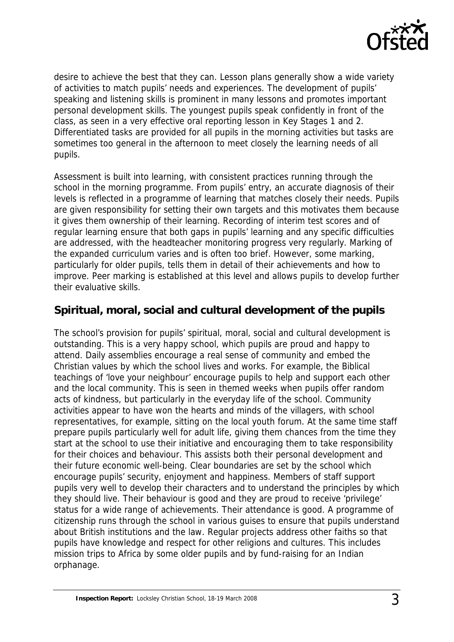

desire to achieve the best that they can. Lesson plans generally show a wide variety of activities to match pupils' needs and experiences. The development of pupils' speaking and listening skills is prominent in many lessons and promotes important personal development skills. The youngest pupils speak confidently in front of the class, as seen in a very effective oral reporting lesson in Key Stages 1 and 2. Differentiated tasks are provided for all pupils in the morning activities but tasks are sometimes too general in the afternoon to meet closely the learning needs of all pupils.

Assessment is built into learning, with consistent practices running through the school in the morning programme. From pupils' entry, an accurate diagnosis of their levels is reflected in a programme of learning that matches closely their needs. Pupils are given responsibility for setting their own targets and this motivates them because it gives them ownership of their learning. Recording of interim test scores and of regular learning ensure that both gaps in pupils' learning and any specific difficulties are addressed, with the headteacher monitoring progress very regularly. Marking of the expanded curriculum varies and is often too brief. However, some marking, particularly for older pupils, tells them in detail of their achievements and how to improve. Peer marking is established at this level and allows pupils to develop further their evaluative skills.

#### **Spiritual, moral, social and cultural development of the pupils**

The school's provision for pupils' spiritual, moral, social and cultural development is outstanding. This is a very happy school, which pupils are proud and happy to attend. Daily assemblies encourage a real sense of community and embed the Christian values by which the school lives and works. For example, the Biblical teachings of 'love your neighbour' encourage pupils to help and support each other and the local community. This is seen in themed weeks when pupils offer random acts of kindness, but particularly in the everyday life of the school. Community activities appear to have won the hearts and minds of the villagers, with school representatives, for example, sitting on the local youth forum. At the same time staff prepare pupils particularly well for adult life, giving them chances from the time they start at the school to use their initiative and encouraging them to take responsibility for their choices and behaviour. This assists both their personal development and their future economic well-being. Clear boundaries are set by the school which encourage pupils' security, enjoyment and happiness. Members of staff support pupils very well to develop their characters and to understand the principles by which they should live. Their behaviour is good and they are proud to receive 'privilege' status for a wide range of achievements. Their attendance is good. A programme of citizenship runs through the school in various guises to ensure that pupils understand about British institutions and the law. Regular projects address other faiths so that pupils have knowledge and respect for other religions and cultures. This includes mission trips to Africa by some older pupils and by fund-raising for an Indian orphanage.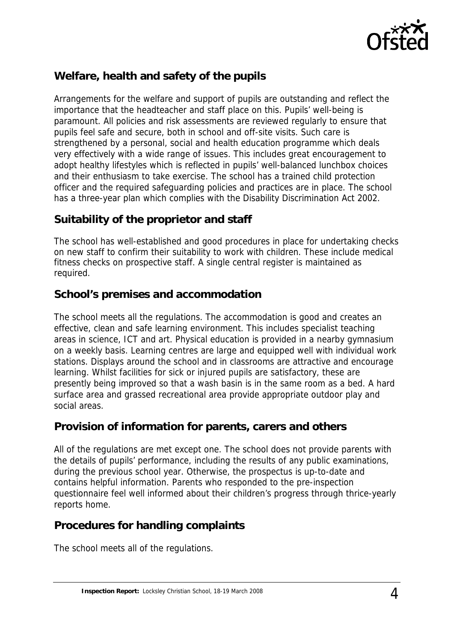

### **Welfare, health and safety of the pupils**

Arrangements for the welfare and support of pupils are outstanding and reflect the importance that the headteacher and staff place on this. Pupils' well-being is paramount. All policies and risk assessments are reviewed regularly to ensure that pupils feel safe and secure, both in school and off-site visits. Such care is strengthened by a personal, social and health education programme which deals very effectively with a wide range of issues. This includes great encouragement to adopt healthy lifestyles which is reflected in pupils' well-balanced lunchbox choices and their enthusiasm to take exercise. The school has a trained child protection officer and the required safeguarding policies and practices are in place. The school has a three-year plan which complies with the Disability Discrimination Act 2002.

#### **Suitability of the proprietor and staff**

The school has well-established and good procedures in place for undertaking checks on new staff to confirm their suitability to work with children. These include medical fitness checks on prospective staff. A single central register is maintained as required.

#### **School's premises and accommodation**

The school meets all the regulations. The accommodation is good and creates an effective, clean and safe learning environment. This includes specialist teaching areas in science, ICT and art. Physical education is provided in a nearby gymnasium on a weekly basis. Learning centres are large and equipped well with individual work stations. Displays around the school and in classrooms are attractive and encourage learning. Whilst facilities for sick or injured pupils are satisfactory, these are presently being improved so that a wash basin is in the same room as a bed. A hard surface area and grassed recreational area provide appropriate outdoor play and social areas.

#### **Provision of information for parents, carers and others**

All of the regulations are met except one. The school does not provide parents with the details of pupils' performance, including the results of any public examinations, during the previous school year. Otherwise, the prospectus is up-to-date and contains helpful information. Parents who responded to the pre-inspection questionnaire feel well informed about their children's progress through thrice-yearly reports home.

#### **Procedures for handling complaints**

The school meets all of the regulations.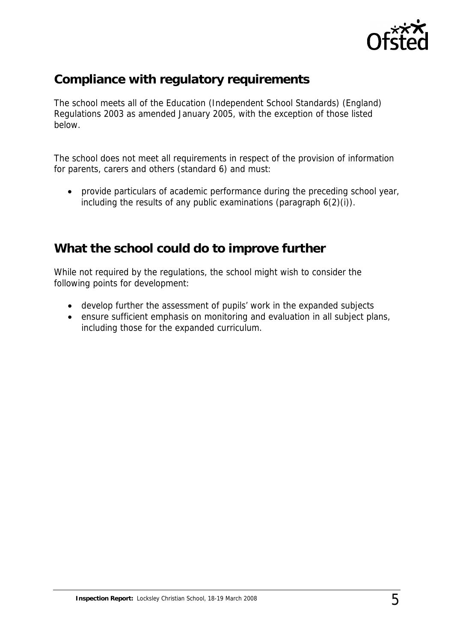

## **Compliance with regulatory requirements**

The school meets all of the Education (Independent School Standards) (England) Regulations 2003 as amended January 2005, with the exception of those listed below.

The school does not meet all requirements in respect of the provision of information for parents, carers and others (standard 6) and must:

 provide particulars of academic performance during the preceding school year, including the results of any public examinations (paragraph 6(2)(i)).

## **What the school could do to improve further**

While not required by the regulations, the school might wish to consider the following points for development:

- develop further the assessment of pupils' work in the expanded subjects
- ensure sufficient emphasis on monitoring and evaluation in all subject plans, including those for the expanded curriculum.